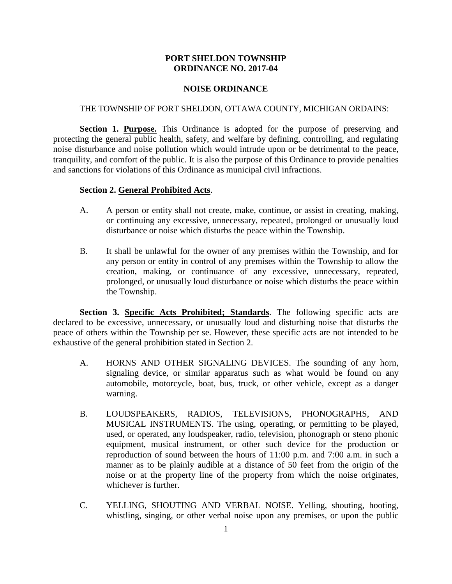## **PORT SHELDON TOWNSHIP ORDINANCE NO. 2017-04**

## **NOISE ORDINANCE**

#### THE TOWNSHIP OF PORT SHELDON, OTTAWA COUNTY, MICHIGAN ORDAINS:

**Section 1. Purpose.** This Ordinance is adopted for the purpose of preserving and protecting the general public health, safety, and welfare by defining, controlling, and regulating noise disturbance and noise pollution which would intrude upon or be detrimental to the peace, tranquility, and comfort of the public. It is also the purpose of this Ordinance to provide penalties and sanctions for violations of this Ordinance as municipal civil infractions.

#### **Section 2. General Prohibited Acts**.

- A. A person or entity shall not create, make, continue, or assist in creating, making, or continuing any excessive, unnecessary, repeated, prolonged or unusually loud disturbance or noise which disturbs the peace within the Township.
- B. It shall be unlawful for the owner of any premises within the Township, and for any person or entity in control of any premises within the Township to allow the creation, making, or continuance of any excessive, unnecessary, repeated, prolonged, or unusually loud disturbance or noise which disturbs the peace within the Township.

**Section 3. Specific Acts Prohibited; Standards**. The following specific acts are declared to be excessive, unnecessary, or unusually loud and disturbing noise that disturbs the peace of others within the Township per se. However, these specific acts are not intended to be exhaustive of the general prohibition stated in Section 2.

- A. HORNS AND OTHER SIGNALING DEVICES. The sounding of any horn, signaling device, or similar apparatus such as what would be found on any automobile, motorcycle, boat, bus, truck, or other vehicle, except as a danger warning.
- B. LOUDSPEAKERS, RADIOS, TELEVISIONS, PHONOGRAPHS, AND MUSICAL INSTRUMENTS. The using, operating, or permitting to be played, used, or operated, any loudspeaker, radio, television, phonograph or steno phonic equipment, musical instrument, or other such device for the production or reproduction of sound between the hours of 11:00 p.m. and 7:00 a.m. in such a manner as to be plainly audible at a distance of 50 feet from the origin of the noise or at the property line of the property from which the noise originates, whichever is further.
- C. YELLING, SHOUTING AND VERBAL NOISE. Yelling, shouting, hooting, whistling, singing, or other verbal noise upon any premises, or upon the public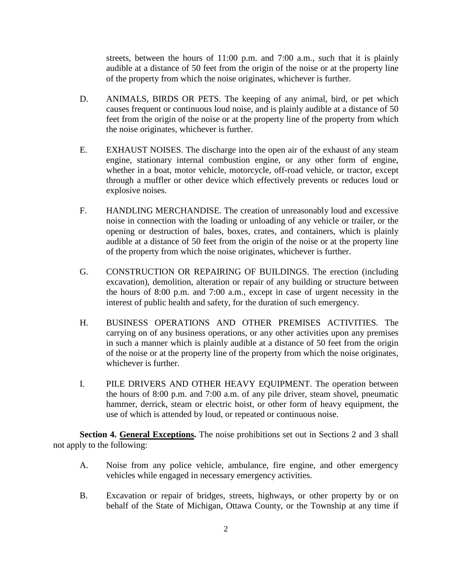streets, between the hours of 11:00 p.m. and 7:00 a.m., such that it is plainly audible at a distance of 50 feet from the origin of the noise or at the property line of the property from which the noise originates, whichever is further.

- D. ANIMALS, BIRDS OR PETS. The keeping of any animal, bird, or pet which causes frequent or continuous loud noise, and is plainly audible at a distance of 50 feet from the origin of the noise or at the property line of the property from which the noise originates, whichever is further.
- E. EXHAUST NOISES. The discharge into the open air of the exhaust of any steam engine, stationary internal combustion engine, or any other form of engine, whether in a boat, motor vehicle, motorcycle, off-road vehicle, or tractor, except through a muffler or other device which effectively prevents or reduces loud or explosive noises.
- F. HANDLING MERCHANDISE. The creation of unreasonably loud and excessive noise in connection with the loading or unloading of any vehicle or trailer, or the opening or destruction of bales, boxes, crates, and containers, which is plainly audible at a distance of 50 feet from the origin of the noise or at the property line of the property from which the noise originates, whichever is further.
- G. CONSTRUCTION OR REPAIRING OF BUILDINGS. The erection (including excavation), demolition, alteration or repair of any building or structure between the hours of 8:00 p.m. and 7:00 a.m., except in case of urgent necessity in the interest of public health and safety, for the duration of such emergency.
- H. BUSINESS OPERATIONS AND OTHER PREMISES ACTIVITIES. The carrying on of any business operations, or any other activities upon any premises in such a manner which is plainly audible at a distance of 50 feet from the origin of the noise or at the property line of the property from which the noise originates, whichever is further.
- I. PILE DRIVERS AND OTHER HEAVY EQUIPMENT. The operation between the hours of 8:00 p.m. and 7:00 a.m. of any pile driver, steam shovel, pneumatic hammer, derrick, steam or electric hoist, or other form of heavy equipment, the use of which is attended by loud, or repeated or continuous noise.

**Section 4. General Exceptions.** The noise prohibitions set out in Sections 2 and 3 shall not apply to the following:

- A. Noise from any police vehicle, ambulance, fire engine, and other emergency vehicles while engaged in necessary emergency activities.
- B. Excavation or repair of bridges, streets, highways, or other property by or on behalf of the State of Michigan, Ottawa County, or the Township at any time if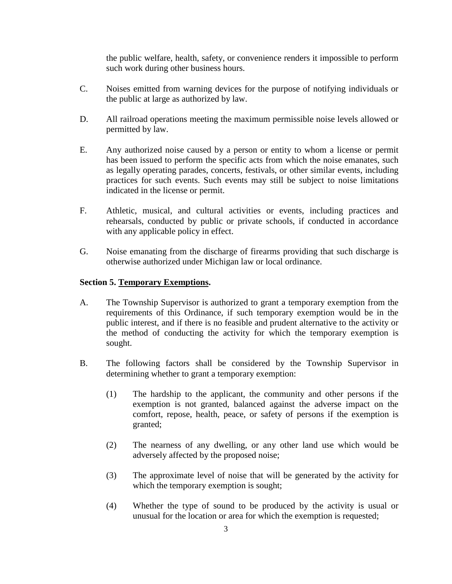the public welfare, health, safety, or convenience renders it impossible to perform such work during other business hours.

- C. Noises emitted from warning devices for the purpose of notifying individuals or the public at large as authorized by law.
- D. All railroad operations meeting the maximum permissible noise levels allowed or permitted by law.
- E. Any authorized noise caused by a person or entity to whom a license or permit has been issued to perform the specific acts from which the noise emanates, such as legally operating parades, concerts, festivals, or other similar events, including practices for such events. Such events may still be subject to noise limitations indicated in the license or permit.
- F. Athletic, musical, and cultural activities or events, including practices and rehearsals, conducted by public or private schools, if conducted in accordance with any applicable policy in effect.
- G. Noise emanating from the discharge of firearms providing that such discharge is otherwise authorized under Michigan law or local ordinance.

# **Section 5. Temporary Exemptions.**

- A. The Township Supervisor is authorized to grant a temporary exemption from the requirements of this Ordinance, if such temporary exemption would be in the public interest, and if there is no feasible and prudent alternative to the activity or the method of conducting the activity for which the temporary exemption is sought.
- B. The following factors shall be considered by the Township Supervisor in determining whether to grant a temporary exemption:
	- (1) The hardship to the applicant, the community and other persons if the exemption is not granted, balanced against the adverse impact on the comfort, repose, health, peace, or safety of persons if the exemption is granted;
	- (2) The nearness of any dwelling, or any other land use which would be adversely affected by the proposed noise;
	- (3) The approximate level of noise that will be generated by the activity for which the temporary exemption is sought;
	- (4) Whether the type of sound to be produced by the activity is usual or unusual for the location or area for which the exemption is requested;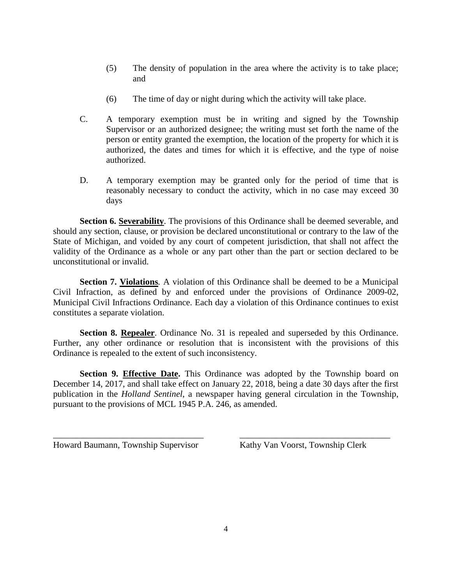- (5) The density of population in the area where the activity is to take place; and
- (6) The time of day or night during which the activity will take place.
- C. A temporary exemption must be in writing and signed by the Township Supervisor or an authorized designee; the writing must set forth the name of the person or entity granted the exemption, the location of the property for which it is authorized, the dates and times for which it is effective, and the type of noise authorized.
- D. A temporary exemption may be granted only for the period of time that is reasonably necessary to conduct the activity, which in no case may exceed 30 days

**Section 6. Severability**. The provisions of this Ordinance shall be deemed severable, and should any section, clause, or provision be declared unconstitutional or contrary to the law of the State of Michigan, and voided by any court of competent jurisdiction, that shall not affect the validity of the Ordinance as a whole or any part other than the part or section declared to be unconstitutional or invalid.

**Section 7. Violations***.* A violation of this Ordinance shall be deemed to be a Municipal Civil Infraction, as defined by and enforced under the provisions of Ordinance 2009-02, Municipal Civil Infractions Ordinance. Each day a violation of this Ordinance continues to exist constitutes a separate violation.

**Section 8. Repealer**. Ordinance No. 31 is repealed and superseded by this Ordinance. Further, any other ordinance or resolution that is inconsistent with the provisions of this Ordinance is repealed to the extent of such inconsistency.

**Section 9. Effective Date.** This Ordinance was adopted by the Township board on December 14, 2017, and shall take effect on January 22, 2018, being a date 30 days after the first publication in the *Holland Sentinel*, a newspaper having general circulation in the Township, pursuant to the provisions of MCL 1945 P.A. 246, as amended.

\_\_\_\_\_\_\_\_\_\_\_\_\_\_\_\_\_\_\_\_\_\_\_\_\_\_\_\_\_\_\_\_\_\_ Howard Baumann, Township Supervisor

Kathy Van Voorst, Township Clerk

\_\_\_\_\_\_\_\_\_\_\_\_\_\_\_\_\_\_\_\_\_\_\_\_\_\_\_\_\_\_\_\_\_\_